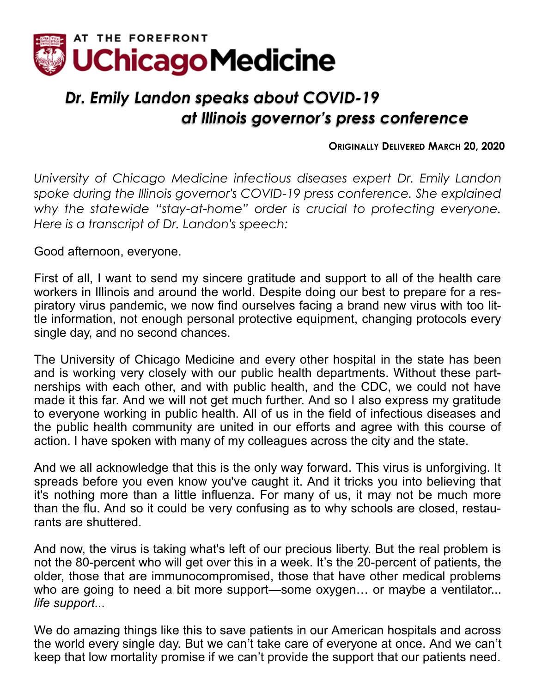

## *Dr. Emily Landon speaks about COVID-19 at Illinois governor's press conference*

## **ORIGINALLY DELIVERED MARCH 20, 2020**

*University of Chicago Medicine infectious diseases expert Dr. Emily Landon spoke during the Illinois governor's COVID-19 press conference. She explained why the statewide "stay-at-home" order is crucial to protecting everyone. Here is a transcript of Dr. Landon's speech:*

Good afternoon, everyone.

First of all, I want to send my sincere gratitude and support to all of the health care workers in Illinois and around the world. Despite doing our best to prepare for a respiratory virus pandemic, we now find ourselves facing a brand new virus with too little information, not enough personal protective equipment, changing protocols every single day, and no second chances.

The University of Chicago Medicine and every other hospital in the state has been and is working very closely with our public health departments. Without these partnerships with each other, and with public health, and the CDC, we could not have made it this far. And we will not get much further. And so I also express my gratitude to everyone working in public health. All of us in the field of infectious diseases and the public health community are united in our efforts and agree with this course of action. I have spoken with many of my colleagues across the city and the state.

And we all acknowledge that this is the only way forward. This virus is unforgiving. It spreads before you even know you've caught it. And it tricks you into believing that it's nothing more than a little influenza. For many of us, it may not be much more than the flu. And so it could be very confusing as to why schools are closed, restaurants are shuttered.

And now, the virus is taking what's left of our precious liberty. But the real problem is not the 80-percent who will get over this in a week. It's the 20-percent of patients, the older, those that are immunocompromised, those that have other medical problems who are going to need a bit more support—some oxygen... or maybe a ventilator... *life support...*

We do amazing things like this to save patients in our American hospitals and across the world every single day. But we can't take care of everyone at once. And we can't keep that low mortality promise if we can't provide the support that our patients need.